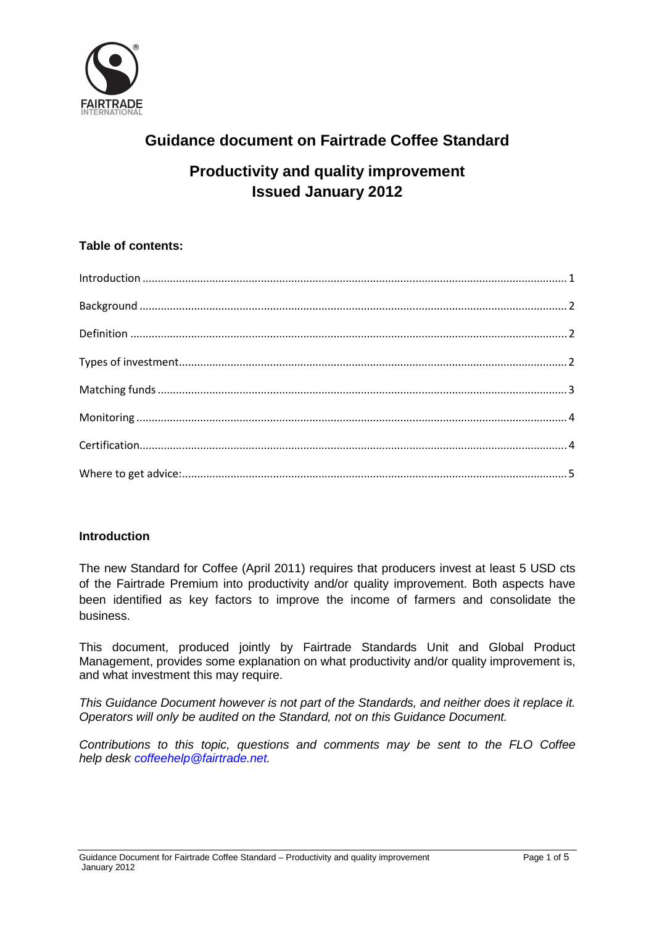

# **Guidance document on Fairtrade Coffee Standard**

## **Productivity and quality improvement Issued January 2012**

## **Table of contents:**

| $\label{eq:interoduction} \mbox{Introduction} \,\, \ldots \,\, \ldots \,\, \ldots \,\, \ldots \,\, \ldots \,\, \ldots \,\, \ldots \,\, \ldots \,\, \ldots \,\, \ldots \,\, \ldots \,\, \ldots \,\, \ldots \,\, \ldots \,\, \ldots \,\, \ldots \,\, \ldots \,\, \ldots \,\, \ldots \,\, \ldots \,\, \ldots \,\, \ldots \,\, \ldots \,\, \ldots \,\, \ldots \,\, \ldots \,\, \ldots \,\, \ldots \,\, \ldots \,\, \ldots \,\, \ldots \,\, \ldots \,\, \ldots \,\, \ldots \$ |  |
|--------------------------------------------------------------------------------------------------------------------------------------------------------------------------------------------------------------------------------------------------------------------------------------------------------------------------------------------------------------------------------------------------------------------------------------------------------------------------|--|
|                                                                                                                                                                                                                                                                                                                                                                                                                                                                          |  |
|                                                                                                                                                                                                                                                                                                                                                                                                                                                                          |  |
|                                                                                                                                                                                                                                                                                                                                                                                                                                                                          |  |
|                                                                                                                                                                                                                                                                                                                                                                                                                                                                          |  |
|                                                                                                                                                                                                                                                                                                                                                                                                                                                                          |  |
|                                                                                                                                                                                                                                                                                                                                                                                                                                                                          |  |
|                                                                                                                                                                                                                                                                                                                                                                                                                                                                          |  |
|                                                                                                                                                                                                                                                                                                                                                                                                                                                                          |  |
|                                                                                                                                                                                                                                                                                                                                                                                                                                                                          |  |

## **Introduction**

The new Standard for Coffee (April 2011) requires that producers invest at least 5 USD cts of the Fairtrade Premium into productivity and/or quality improvement. Both aspects have been identified as key factors to improve the income of farmers and consolidate the business.

This document, produced jointly by Fairtrade Standards Unit and Global Product Management, provides some explanation on what productivity and/or quality improvement is, and what investment this may require.

This Guidance Document however is not part of the Standards, and neither does it replace it. Operators will only be audited on the Standard, not on this Guidance Document.

Contributions to this topic, questions and comments may be sent to the FLO Coffee help desk coffeehelp@fairtrade.net.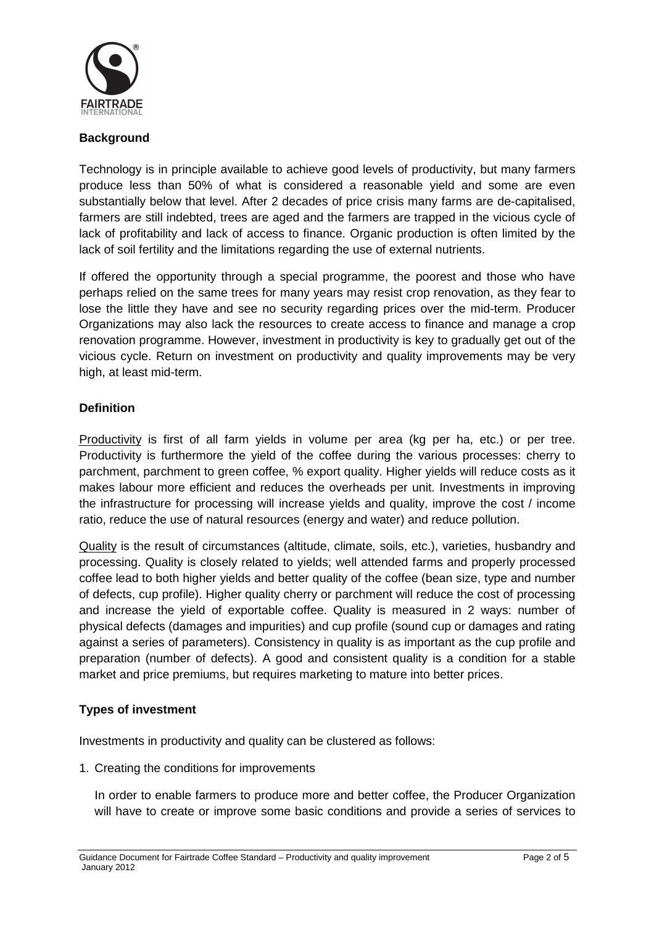

### **Background**

Technology is in principle available to achieve good levels of productivity, but many farmers produce less than 50% of what is considered a reasonable yield and some are even substantially below that level. After 2 decades of price crisis many farms are de-capitalised, farmers are still indebted, trees are aged and the farmers are trapped in the vicious cycle of lack of profitability and lack of access to finance. Organic production is often limited by the lack of soil fertility and the limitations regarding the use of external nutrients.

If offered the opportunity through a special programme, the poorest and those who have perhaps relied on the same trees for many years may resist crop renovation, as they fear to lose the little they have and see no security regarding prices over the mid-term. Producer Organizations may also lack the resources to create access to finance and manage a crop renovation programme. However, investment in productivity is key to gradually get out of the vicious cycle. Return on investment on productivity and quality improvements may be very high, at least mid-term.

#### **Definition**

Productivity is first of all farm yields in volume per area (kg per ha, etc.) or per tree. Productivity is furthermore the yield of the coffee during the various processes: cherry to parchment, parchment to green coffee, % export quality. Higher yields will reduce costs as it makes labour more efficient and reduces the overheads per unit. Investments in improving the infrastructure for processing will increase yields and quality, improve the cost / income ratio, reduce the use of natural resources (energy and water) and reduce pollution.

Quality is the result of circumstances (altitude, climate, soils, etc.), varieties, husbandry and processing. Quality is closely related to yields; well attended farms and properly processed coffee lead to both higher yields and better quality of the coffee (bean size, type and number of defects, cup profile). Higher quality cherry or parchment will reduce the cost of processing and increase the yield of exportable coffee. Quality is measured in 2 ways: number of physical defects (damages and impurities) and cup profile (sound cup or damages and rating against a series of parameters). Consistency in quality is as important as the cup profile and preparation (number of defects). A good and consistent quality is a condition for a stable market and price premiums, but requires marketing to mature into better prices.

## **Types of investment**

Investments in productivity and quality can be clustered as follows:

1. Creating the conditions for improvements

In order to enable farmers to produce more and better coffee, the Producer Organization will have to create or improve some basic conditions and provide a series of services to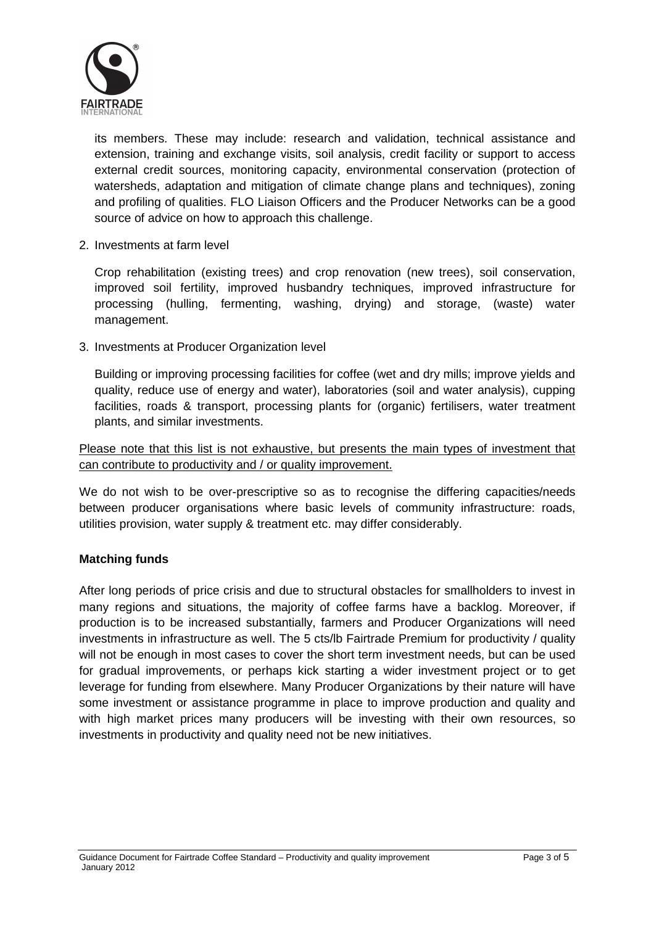

its members. These may include: research and validation, technical assistance and extension, training and exchange visits, soil analysis, credit facility or support to access external credit sources, monitoring capacity, environmental conservation (protection of watersheds, adaptation and mitigation of climate change plans and techniques), zoning and profiling of qualities. FLO Liaison Officers and the Producer Networks can be a good source of advice on how to approach this challenge.

2. Investments at farm level

Crop rehabilitation (existing trees) and crop renovation (new trees), soil conservation, improved soil fertility, improved husbandry techniques, improved infrastructure for processing (hulling, fermenting, washing, drying) and storage, (waste) water management.

3. Investments at Producer Organization level

Building or improving processing facilities for coffee (wet and dry mills; improve yields and quality, reduce use of energy and water), laboratories (soil and water analysis), cupping facilities, roads & transport, processing plants for (organic) fertilisers, water treatment plants, and similar investments.

Please note that this list is not exhaustive, but presents the main types of investment that can contribute to productivity and / or quality improvement.

We do not wish to be over-prescriptive so as to recognise the differing capacities/needs between producer organisations where basic levels of community infrastructure: roads, utilities provision, water supply & treatment etc. may differ considerably.

## **Matching funds**

After long periods of price crisis and due to structural obstacles for smallholders to invest in many regions and situations, the majority of coffee farms have a backlog. Moreover, if production is to be increased substantially, farmers and Producer Organizations will need investments in infrastructure as well. The 5 cts/lb Fairtrade Premium for productivity / quality will not be enough in most cases to cover the short term investment needs, but can be used for gradual improvements, or perhaps kick starting a wider investment project or to get leverage for funding from elsewhere. Many Producer Organizations by their nature will have some investment or assistance programme in place to improve production and quality and with high market prices many producers will be investing with their own resources, so investments in productivity and quality need not be new initiatives.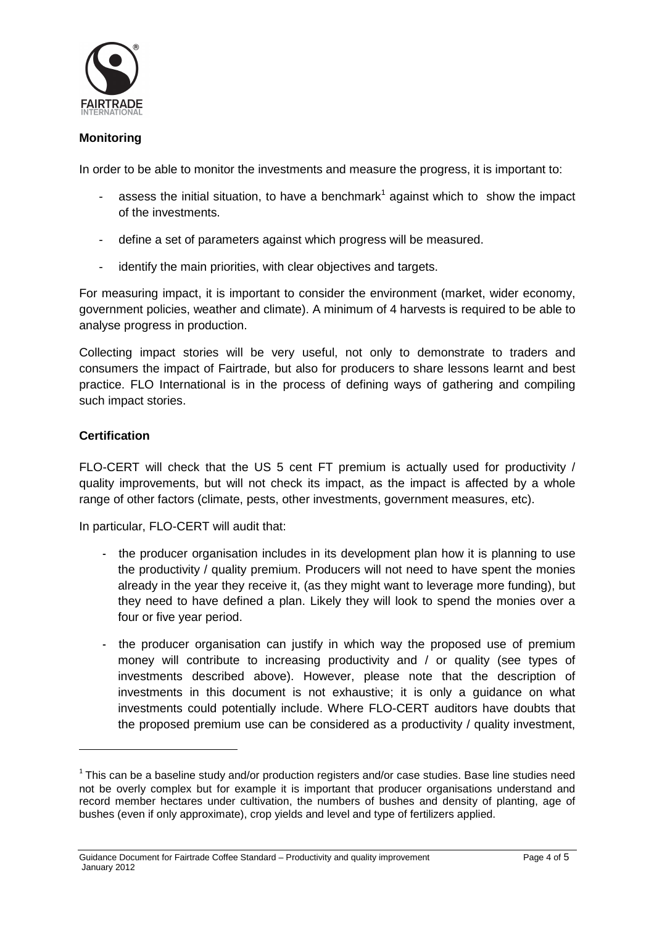

#### **Monitoring**

In order to be able to monitor the investments and measure the progress, it is important to:

- assess the initial situation, to have a benchmark<sup>1</sup> against which to show the impact of the investments.
- define a set of parameters against which progress will be measured.
- identify the main priorities, with clear objectives and targets.

For measuring impact, it is important to consider the environment (market, wider economy, government policies, weather and climate). A minimum of 4 harvests is required to be able to analyse progress in production.

Collecting impact stories will be very useful, not only to demonstrate to traders and consumers the impact of Fairtrade, but also for producers to share lessons learnt and best practice. FLO International is in the process of defining ways of gathering and compiling such impact stories.

#### **Certification**

 $\overline{a}$ 

FLO-CERT will check that the US 5 cent FT premium is actually used for productivity / quality improvements, but will not check its impact, as the impact is affected by a whole range of other factors (climate, pests, other investments, government measures, etc).

In particular, FLO-CERT will audit that:

- the producer organisation includes in its development plan how it is planning to use the productivity / quality premium. Producers will not need to have spent the monies already in the year they receive it, (as they might want to leverage more funding), but they need to have defined a plan. Likely they will look to spend the monies over a four or five year period.
- the producer organisation can justify in which way the proposed use of premium money will contribute to increasing productivity and / or quality (see types of investments described above). However, please note that the description of investments in this document is not exhaustive; it is only a guidance on what investments could potentially include. Where FLO-CERT auditors have doubts that the proposed premium use can be considered as a productivity / quality investment,

 $1$ This can be a baseline study and/or production registers and/or case studies. Base line studies need not be overly complex but for example it is important that producer organisations understand and record member hectares under cultivation, the numbers of bushes and density of planting, age of bushes (even if only approximate), crop yields and level and type of fertilizers applied.